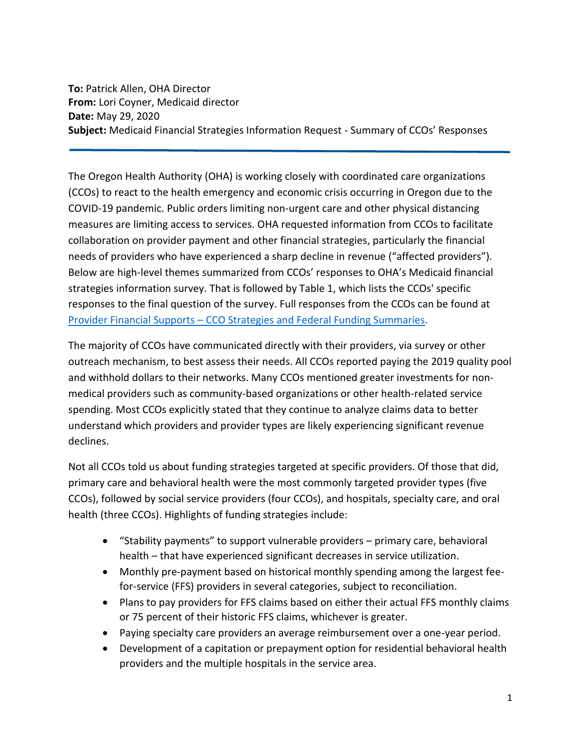**To:** Patrick Allen, OHA Director **From:** Lori Coyner, Medicaid director **Date:** May 29, 2020 **Subject:** Medicaid Financial Strategies Information Request - Summary of CCOs' Responses

The Oregon Health Authority (OHA) is working closely with coordinated care organizations (CCOs) to react to the health emergency and economic crisis occurring in Oregon due to the COVID-19 pandemic. Public orders limiting non-urgent care and other physical distancing measures are limiting access to services. OHA requested information from CCOs to facilitate collaboration on provider payment and other financial strategies, particularly the financial needs of providers who have experienced a sharp decline in revenue ("affected providers"). Below are high-level themes summarized from CCOs' responses to OHA's Medicaid financial strategies information survey. That is followed by Table 1, which lists the CCOs' specific responses to the final question of the survey. Full responses from the CCOs can be found at Provider Financial Supports – [CCO Strategies and Federal Funding Summaries.](https://www.oregon.gov/oha/FOD/Pages/Provider-Financial-Supports.aspx)

The majority of CCOs have communicated directly with their providers, via survey or other outreach mechanism, to best assess their needs. All CCOs reported paying the 2019 quality pool and withhold dollars to their networks. Many CCOs mentioned greater investments for nonmedical providers such as community-based organizations or other health-related service spending. Most CCOs explicitly stated that they continue to analyze claims data to better understand which providers and provider types are likely experiencing significant revenue declines.

Not all CCOs told us about funding strategies targeted at specific providers. Of those that did, primary care and behavioral health were the most commonly targeted provider types (five CCOs), followed by social service providers (four CCOs), and hospitals, specialty care, and oral health (three CCOs). Highlights of funding strategies include:

- "Stability payments" to support vulnerable providers primary care, behavioral health – that have experienced significant decreases in service utilization.
- Monthly pre-payment based on historical monthly spending among the largest feefor-service (FFS) providers in several categories, subject to reconciliation.
- Plans to pay providers for FFS claims based on either their actual FFS monthly claims or 75 percent of their historic FFS claims, whichever is greater.
- Paying specialty care providers an average reimbursement over a one-year period.
- Development of a capitation or prepayment option for residential behavioral health providers and the multiple hospitals in the service area.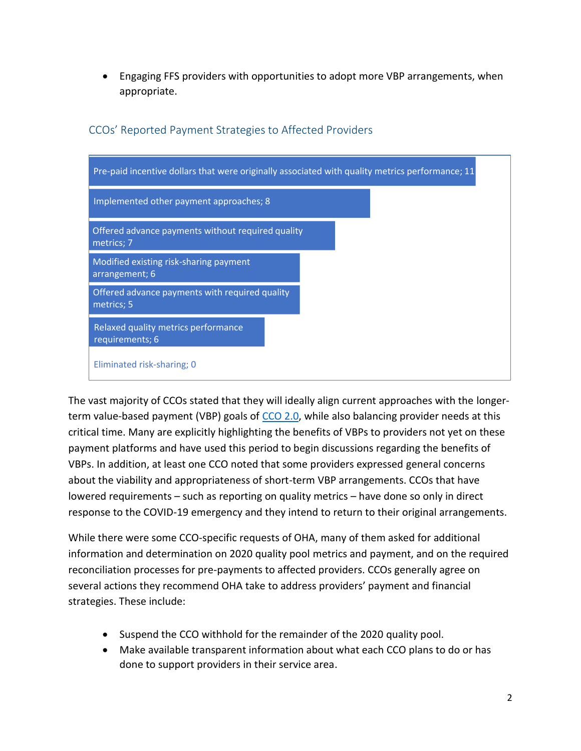• Engaging FFS providers with opportunities to adopt more VBP arrangements, when appropriate.



# CCOs' Reported Payment Strategies to Affected Providers

The vast majority of CCOs stated that they will ideally align current approaches with the longer-term value-based payment (VBP) goals of [CCO 2.0,](https://www.oregon.gov/oha/HPA/dsi-tc/Documents/OHA-CCO-VBP-Roadmap.pdf) while also balancing provider needs at this critical time. Many are explicitly highlighting the benefits of VBPs to providers not yet on these payment platforms and have used this period to begin discussions regarding the benefits of VBPs. In addition, at least one CCO noted that some providers expressed general concerns about the viability and appropriateness of short-term VBP arrangements. CCOs that have lowered requirements – such as reporting on quality metrics – have done so only in direct response to the COVID-19 emergency and they intend to return to their original arrangements.

While there were some CCO-specific requests of OHA, many of them asked for additional information and determination on 2020 quality pool metrics and payment, and on the required reconciliation processes for pre-payments to affected providers. CCOs generally agree on several actions they recommend OHA take to address providers' payment and financial strategies. These include:

- Suspend the CCO withhold for the remainder of the 2020 quality pool.
- Make available transparent information about what each CCO plans to do or has done to support providers in their service area.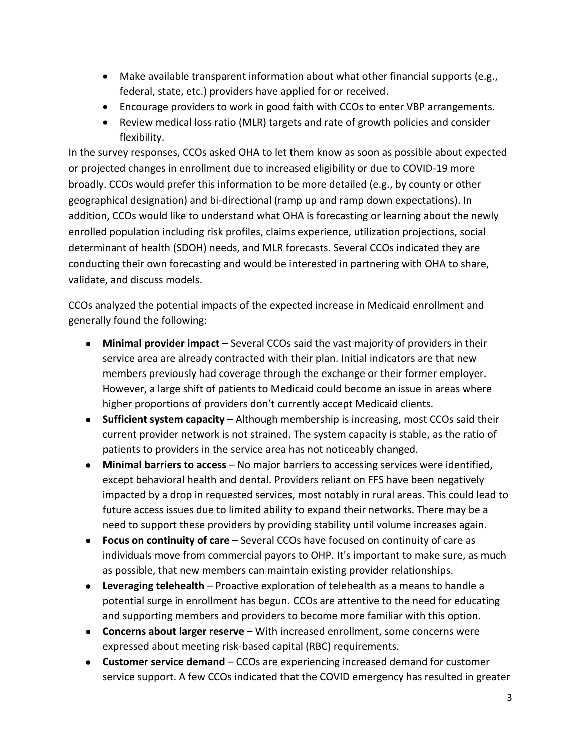- Make available transparent information about what other financial supports (e.g., federal, state, etc.) providers have applied for or received.
- Encourage providers to work in good faith with CCOs to enter VBP arrangements.
- Review medical loss ratio (MLR) targets and rate of growth policies and consider flexibility.

In the survey responses, CCOs asked OHA to let them know as soon as possible about expected or projected changes in enrollment due to increased eligibility or due to COVID-19 more broadly. CCOs would prefer this information to be more detailed (e.g., by county or other geographical designation) and bi-directional (ramp up and ramp down expectations). In addition, CCOs would like to understand what OHA is forecasting or learning about the newly enrolled population including risk profiles, claims experience, utilization projections, social determinant of health (SDOH) needs, and MLR forecasts. Several CCOs indicated they are conducting their own forecasting and would be interested in partnering with OHA to share, validate, and discuss models.

CCOs analyzed the potential impacts of the expected increase in Medicaid enrollment and generally found the following:

- **Minimal provider impact** Several CCOs said the vast majority of providers in their service area are already contracted with their plan. Initial indicators are that new members previously had coverage through the exchange or their former employer. However, a large shift of patients to Medicaid could become an issue in areas where higher proportions of providers don't currently accept Medicaid clients.
- **Sufficient system capacity** Although membership is increasing, most CCOs said their current provider network is not strained. The system capacity is stable, as the ratio of patients to providers in the service area has not noticeably changed.
- **Minimal barriers to access** No major barriers to accessing services were identified, except behavioral health and dental. Providers reliant on FFS have been negatively impacted by a drop in requested services, most notably in rural areas. This could lead to future access issues due to limited ability to expand their networks. There may be a need to support these providers by providing stability until volume increases again.
- **Focus on continuity of care** Several CCOs have focused on continuity of care as individuals move from commercial payors to OHP. It's important to make sure, as much as possible, that new members can maintain existing provider relationships.
- **Leveraging telehealth** Proactive exploration of telehealth as a means to handle a potential surge in enrollment has begun. CCOs are attentive to the need for educating and supporting members and providers to become more familiar with this option.
- **Concerns about larger reserve** With increased enrollment, some concerns were expressed about meeting risk-based capital (RBC) requirements.
- **Customer service demand** CCOs are experiencing increased demand for customer service support. A few CCOs indicated that the COVID emergency has resulted in greater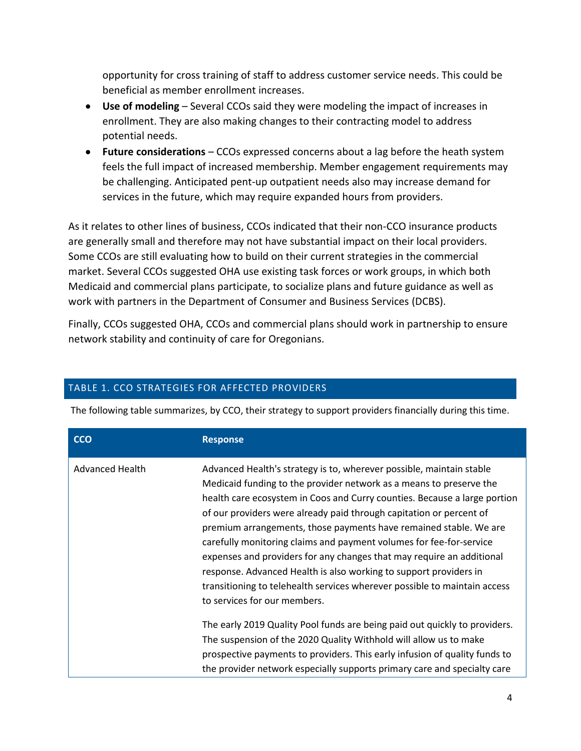opportunity for cross training of staff to address customer service needs. This could be beneficial as member enrollment increases.

- **Use of modeling** Several CCOs said they were modeling the impact of increases in enrollment. They are also making changes to their contracting model to address potential needs.
- **Future considerations** CCOs expressed concerns about a lag before the heath system feels the full impact of increased membership. Member engagement requirements may be challenging. Anticipated pent-up outpatient needs also may increase demand for services in the future, which may require expanded hours from providers.

As it relates to other lines of business, CCOs indicated that their non-CCO insurance products are generally small and therefore may not have substantial impact on their local providers. Some CCOs are still evaluating how to build on their current strategies in the commercial market. Several CCOs suggested OHA use existing task forces or work groups, in which both Medicaid and commercial plans participate, to socialize plans and future guidance as well as work with partners in the Department of Consumer and Business Services (DCBS).

Finally, CCOs suggested OHA, CCOs and commercial plans should work in partnership to ensure network stability and continuity of care for Oregonians.

## TABLE 1. CCO STRATEGIES FOR AFFECTED PROVIDERS

The following table summarizes, by CCO, their strategy to support providers financially during this time.

| <b>CCO</b>             | <b>Response</b>                                                                                                                                                                                                                                                                                                                                                                                                                                                                                                                                                                                                                                                                                        |
|------------------------|--------------------------------------------------------------------------------------------------------------------------------------------------------------------------------------------------------------------------------------------------------------------------------------------------------------------------------------------------------------------------------------------------------------------------------------------------------------------------------------------------------------------------------------------------------------------------------------------------------------------------------------------------------------------------------------------------------|
| <b>Advanced Health</b> | Advanced Health's strategy is to, wherever possible, maintain stable<br>Medicaid funding to the provider network as a means to preserve the<br>health care ecosystem in Coos and Curry counties. Because a large portion<br>of our providers were already paid through capitation or percent of<br>premium arrangements, those payments have remained stable. We are<br>carefully monitoring claims and payment volumes for fee-for-service<br>expenses and providers for any changes that may require an additional<br>response. Advanced Health is also working to support providers in<br>transitioning to telehealth services wherever possible to maintain access<br>to services for our members. |
|                        | The early 2019 Quality Pool funds are being paid out quickly to providers.<br>The suspension of the 2020 Quality Withhold will allow us to make<br>prospective payments to providers. This early infusion of quality funds to<br>the provider network especially supports primary care and specialty care                                                                                                                                                                                                                                                                                                                                                                                              |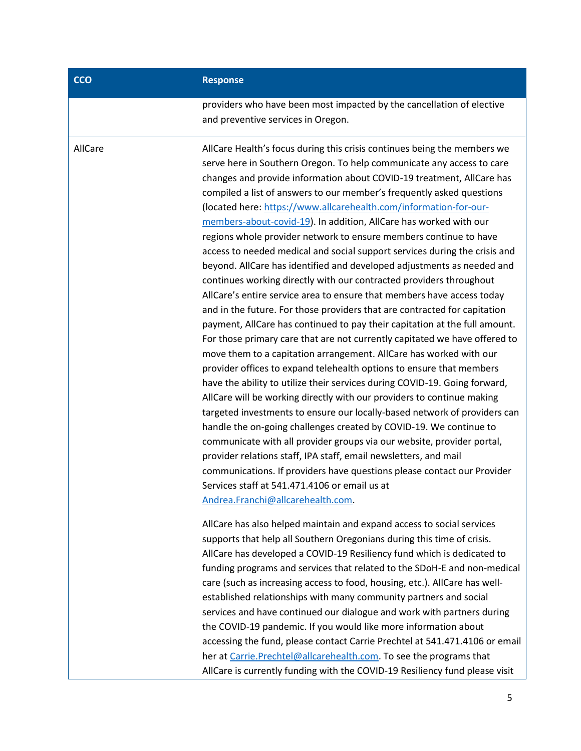### **CCO Response**

providers who have been most impacted by the cancellation of elective and preventive services in Oregon.

AllCare AllCare Health's focus during this crisis continues being the members we serve here in Southern Oregon. To help communicate any access to care changes and provide information about COVID-19 treatment, AllCare has compiled a list of answers to our member's frequently asked questions (located here: [https://www.allcarehealth.com/information-for-our](https://www.allcarehealth.com/information-for-our-members-about-covid-19)[members-about-covid-19\)](https://www.allcarehealth.com/information-for-our-members-about-covid-19). In addition, AllCare has worked with our regions whole provider network to ensure members continue to have access to needed medical and social support services during the crisis and beyond. AllCare has identified and developed adjustments as needed and continues working directly with our contracted providers throughout AllCare's entire service area to ensure that members have access today and in the future. For those providers that are contracted for capitation payment, AllCare has continued to pay their capitation at the full amount. For those primary care that are not currently capitated we have offered to move them to a capitation arrangement. AllCare has worked with our provider offices to expand telehealth options to ensure that members have the ability to utilize their services during COVID-19. Going forward, AllCare will be working directly with our providers to continue making targeted investments to ensure our locally-based network of providers can handle the on-going challenges created by COVID-19. We continue to communicate with all provider groups via our website, provider portal, provider relations staff, IPA staff, email newsletters, and mail communications. If providers have questions please contact our Provider Services staff at 541.471.4106 or email us at [Andrea.Franchi@allcarehealth.com.](mailto:Andrea.Franchi@allcarehealth.com)

> AllCare has also helped maintain and expand access to social services supports that help all Southern Oregonians during this time of crisis. AllCare has developed a COVID-19 Resiliency fund which is dedicated to funding programs and services that related to the SDoH-E and non-medical care (such as increasing access to food, housing, etc.). AllCare has wellestablished relationships with many community partners and social services and have continued our dialogue and work with partners during the COVID-19 pandemic. If you would like more information about accessing the fund, please contact Carrie Prechtel at 541.471.4106 or email her at [Carrie.Prechtel@allcarehealth.com.](mailto:Carrie.Prechtel@allcarehealth.com) To see the programs that AllCare is currently funding with the COVID-19 Resiliency fund please visit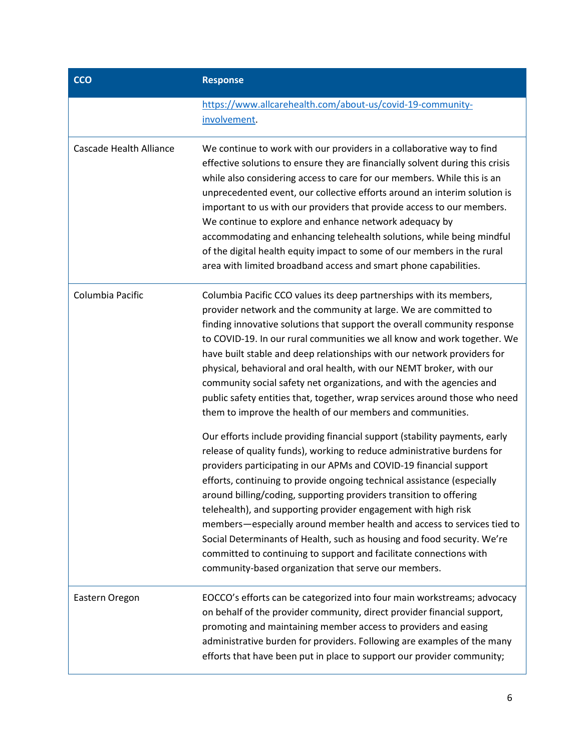| <b>CCO</b>                     | <b>Response</b>                                                                                                                                                                                                                                                                                                                                                                                                                                                                                                                                                                                                                                                                                                                   |
|--------------------------------|-----------------------------------------------------------------------------------------------------------------------------------------------------------------------------------------------------------------------------------------------------------------------------------------------------------------------------------------------------------------------------------------------------------------------------------------------------------------------------------------------------------------------------------------------------------------------------------------------------------------------------------------------------------------------------------------------------------------------------------|
|                                | https://www.allcarehealth.com/about-us/covid-19-community-<br>involvement.                                                                                                                                                                                                                                                                                                                                                                                                                                                                                                                                                                                                                                                        |
| <b>Cascade Health Alliance</b> | We continue to work with our providers in a collaborative way to find<br>effective solutions to ensure they are financially solvent during this crisis<br>while also considering access to care for our members. While this is an<br>unprecedented event, our collective efforts around an interim solution is<br>important to us with our providers that provide access to our members.<br>We continue to explore and enhance network adequacy by<br>accommodating and enhancing telehealth solutions, while being mindful<br>of the digital health equity impact to some of our members in the rural<br>area with limited broadband access and smart phone capabilities.                                                        |
| Columbia Pacific               | Columbia Pacific CCO values its deep partnerships with its members,<br>provider network and the community at large. We are committed to<br>finding innovative solutions that support the overall community response<br>to COVID-19. In our rural communities we all know and work together. We<br>have built stable and deep relationships with our network providers for<br>physical, behavioral and oral health, with our NEMT broker, with our<br>community social safety net organizations, and with the agencies and<br>public safety entities that, together, wrap services around those who need<br>them to improve the health of our members and communities.                                                             |
|                                | Our efforts include providing financial support (stability payments, early<br>release of quality funds), working to reduce administrative burdens for<br>providers participating in our APMs and COVID-19 financial support<br>efforts, continuing to provide ongoing technical assistance (especially<br>around billing/coding, supporting providers transition to offering<br>telehealth), and supporting provider engagement with high risk<br>members-especially around member health and access to services tied to<br>Social Determinants of Health, such as housing and food security. We're<br>committed to continuing to support and facilitate connections with<br>community-based organization that serve our members. |
| Eastern Oregon                 | EOCCO's efforts can be categorized into four main workstreams; advocacy<br>on behalf of the provider community, direct provider financial support,<br>promoting and maintaining member access to providers and easing<br>administrative burden for providers. Following are examples of the many<br>efforts that have been put in place to support our provider community;                                                                                                                                                                                                                                                                                                                                                        |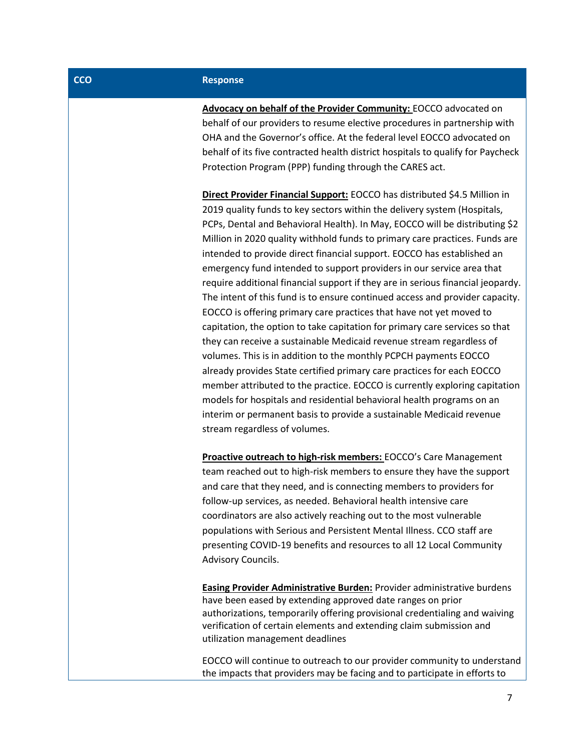### **CCO Response**

**Advocacy on behalf of the Provider Community:** EOCCO advocated on behalf of our providers to resume elective procedures in partnership with OHA and the Governor's office. At the federal level EOCCO advocated on behalf of its five contracted health district hospitals to qualify for Paycheck Protection Program (PPP) funding through the CARES act.

**Direct Provider Financial Support:** EOCCO has distributed \$4.5 Million in 2019 quality funds to key sectors within the delivery system (Hospitals, PCPs, Dental and Behavioral Health). In May, EOCCO will be distributing \$2 Million in 2020 quality withhold funds to primary care practices. Funds are intended to provide direct financial support. EOCCO has established an emergency fund intended to support providers in our service area that require additional financial support if they are in serious financial jeopardy. The intent of this fund is to ensure continued access and provider capacity. EOCCO is offering primary care practices that have not yet moved to capitation, the option to take capitation for primary care services so that they can receive a sustainable Medicaid revenue stream regardless of volumes. This is in addition to the monthly PCPCH payments EOCCO already provides State certified primary care practices for each EOCCO member attributed to the practice. EOCCO is currently exploring capitation models for hospitals and residential behavioral health programs on an interim or permanent basis to provide a sustainable Medicaid revenue stream regardless of volumes.

**Proactive outreach to high-risk members:** EOCCO's Care Management team reached out to high-risk members to ensure they have the support and care that they need, and is connecting members to providers for follow-up services, as needed. Behavioral health intensive care coordinators are also actively reaching out to the most vulnerable populations with Serious and Persistent Mental Illness. CCO staff are presenting COVID-19 benefits and resources to all 12 Local Community Advisory Councils.

**Easing Provider Administrative Burden:** Provider administrative burdens have been eased by extending approved date ranges on prior authorizations, temporarily offering provisional credentialing and waiving verification of certain elements and extending claim submission and utilization management deadlines

EOCCO will continue to outreach to our provider community to understand the impacts that providers may be facing and to participate in efforts to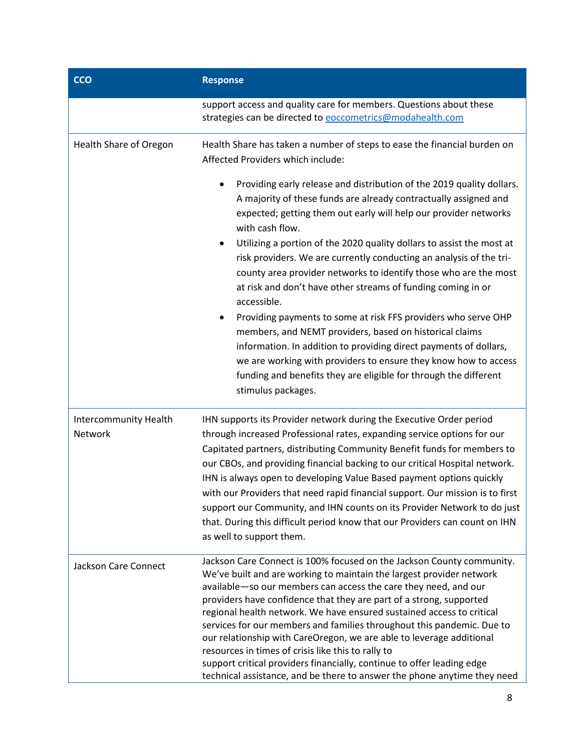| <b>CCO</b>                       | <b>Response</b>                                                                                                                                                                                                                                                                                                                                                                                                                                                                                                                                                                                                                                                                                                                                                                                                                                                                                         |
|----------------------------------|---------------------------------------------------------------------------------------------------------------------------------------------------------------------------------------------------------------------------------------------------------------------------------------------------------------------------------------------------------------------------------------------------------------------------------------------------------------------------------------------------------------------------------------------------------------------------------------------------------------------------------------------------------------------------------------------------------------------------------------------------------------------------------------------------------------------------------------------------------------------------------------------------------|
|                                  | support access and quality care for members. Questions about these<br>strategies can be directed to <b>eoccometrics@modahealth.com</b>                                                                                                                                                                                                                                                                                                                                                                                                                                                                                                                                                                                                                                                                                                                                                                  |
| Health Share of Oregon           | Health Share has taken a number of steps to ease the financial burden on<br>Affected Providers which include:                                                                                                                                                                                                                                                                                                                                                                                                                                                                                                                                                                                                                                                                                                                                                                                           |
|                                  | Providing early release and distribution of the 2019 quality dollars.<br>A majority of these funds are already contractually assigned and<br>expected; getting them out early will help our provider networks<br>with cash flow.<br>Utilizing a portion of the 2020 quality dollars to assist the most at<br>risk providers. We are currently conducting an analysis of the tri-<br>county area provider networks to identify those who are the most<br>at risk and don't have other streams of funding coming in or<br>accessible.<br>Providing payments to some at risk FFS providers who serve OHP<br>٠<br>members, and NEMT providers, based on historical claims<br>information. In addition to providing direct payments of dollars,<br>we are working with providers to ensure they know how to access<br>funding and benefits they are eligible for through the different<br>stimulus packages. |
| Intercommunity Health<br>Network | IHN supports its Provider network during the Executive Order period<br>through increased Professional rates, expanding service options for our<br>Capitated partners, distributing Community Benefit funds for members to<br>our CBOs, and providing financial backing to our critical Hospital network.<br>IHN is always open to developing Value Based payment options quickly<br>with our Providers that need rapid financial support. Our mission is to first<br>support our Community, and IHN counts on its Provider Network to do just<br>that. During this difficult period know that our Providers can count on IHN<br>as well to support them.                                                                                                                                                                                                                                                |
| <b>Jackson Care Connect</b>      | Jackson Care Connect is 100% focused on the Jackson County community.<br>We've built and are working to maintain the largest provider network<br>available-so our members can access the care they need, and our<br>providers have confidence that they are part of a strong, supported<br>regional health network. We have ensured sustained access to critical<br>services for our members and families throughout this pandemic. Due to<br>our relationship with CareOregon, we are able to leverage additional<br>resources in times of crisis like this to rally to<br>support critical providers financially, continue to offer leading edge<br>technical assistance, and be there to answer the phone anytime they need                                                                                                                                                                          |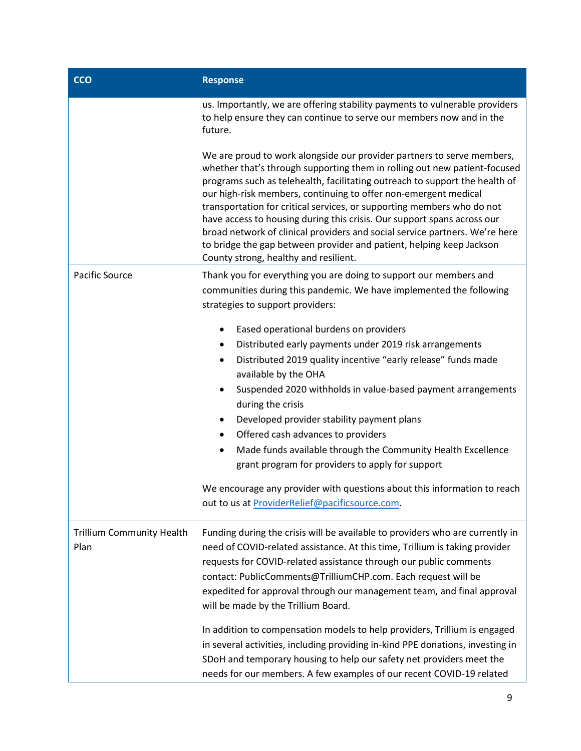| <b>CCO</b>                               | <b>Response</b>                                                                                                                                                                                                                                                                                                                                                                                                                                                                                                                                                                                                                                            |
|------------------------------------------|------------------------------------------------------------------------------------------------------------------------------------------------------------------------------------------------------------------------------------------------------------------------------------------------------------------------------------------------------------------------------------------------------------------------------------------------------------------------------------------------------------------------------------------------------------------------------------------------------------------------------------------------------------|
|                                          | us. Importantly, we are offering stability payments to vulnerable providers<br>to help ensure they can continue to serve our members now and in the<br>future.                                                                                                                                                                                                                                                                                                                                                                                                                                                                                             |
|                                          | We are proud to work alongside our provider partners to serve members,<br>whether that's through supporting them in rolling out new patient-focused<br>programs such as telehealth, facilitating outreach to support the health of<br>our high-risk members, continuing to offer non-emergent medical<br>transportation for critical services, or supporting members who do not<br>have access to housing during this crisis. Our support spans across our<br>broad network of clinical providers and social service partners. We're here<br>to bridge the gap between provider and patient, helping keep Jackson<br>County strong, healthy and resilient. |
| Pacific Source                           | Thank you for everything you are doing to support our members and<br>communities during this pandemic. We have implemented the following<br>strategies to support providers:                                                                                                                                                                                                                                                                                                                                                                                                                                                                               |
|                                          | Eased operational burdens on providers<br>$\bullet$<br>Distributed early payments under 2019 risk arrangements<br>Distributed 2019 quality incentive "early release" funds made<br>٠<br>available by the OHA<br>Suspended 2020 withholds in value-based payment arrangements<br>during the crisis<br>Developed provider stability payment plans<br>$\bullet$<br>Offered cash advances to providers<br>٠<br>Made funds available through the Community Health Excellence<br>٠<br>grant program for providers to apply for support                                                                                                                           |
|                                          | We encourage any provider with questions about this information to reach<br>out to us at ProviderRelief@pacificsource.com.                                                                                                                                                                                                                                                                                                                                                                                                                                                                                                                                 |
| <b>Trillium Community Health</b><br>Plan | Funding during the crisis will be available to providers who are currently in<br>need of COVID-related assistance. At this time, Trillium is taking provider<br>requests for COVID-related assistance through our public comments<br>contact: PublicComments@TrilliumCHP.com. Each request will be<br>expedited for approval through our management team, and final approval<br>will be made by the Trillium Board.<br>In addition to compensation models to help providers, Trillium is engaged                                                                                                                                                           |
|                                          | in several activities, including providing in-kind PPE donations, investing in<br>SDoH and temporary housing to help our safety net providers meet the<br>needs for our members. A few examples of our recent COVID-19 related                                                                                                                                                                                                                                                                                                                                                                                                                             |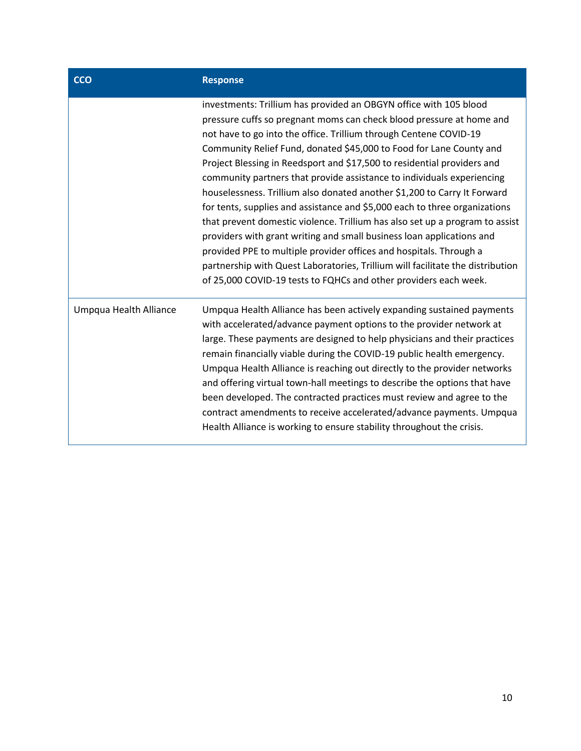| <b>CCO</b>             | <b>Response</b>                                                                                                                                                                                                                                                                                                                                                                                                                                                                                                                                                                                                                                                                                                                                                                                                                                                                                                                                                                           |
|------------------------|-------------------------------------------------------------------------------------------------------------------------------------------------------------------------------------------------------------------------------------------------------------------------------------------------------------------------------------------------------------------------------------------------------------------------------------------------------------------------------------------------------------------------------------------------------------------------------------------------------------------------------------------------------------------------------------------------------------------------------------------------------------------------------------------------------------------------------------------------------------------------------------------------------------------------------------------------------------------------------------------|
|                        | investments: Trillium has provided an OBGYN office with 105 blood<br>pressure cuffs so pregnant moms can check blood pressure at home and<br>not have to go into the office. Trillium through Centene COVID-19<br>Community Relief Fund, donated \$45,000 to Food for Lane County and<br>Project Blessing in Reedsport and \$17,500 to residential providers and<br>community partners that provide assistance to individuals experiencing<br>houselessness. Trillium also donated another \$1,200 to Carry It Forward<br>for tents, supplies and assistance and \$5,000 each to three organizations<br>that prevent domestic violence. Trillium has also set up a program to assist<br>providers with grant writing and small business loan applications and<br>provided PPE to multiple provider offices and hospitals. Through a<br>partnership with Quest Laboratories, Trillium will facilitate the distribution<br>of 25,000 COVID-19 tests to FQHCs and other providers each week. |
| Umpqua Health Alliance | Umpqua Health Alliance has been actively expanding sustained payments<br>with accelerated/advance payment options to the provider network at<br>large. These payments are designed to help physicians and their practices<br>remain financially viable during the COVID-19 public health emergency.<br>Umpqua Health Alliance is reaching out directly to the provider networks<br>and offering virtual town-hall meetings to describe the options that have<br>been developed. The contracted practices must review and agree to the<br>contract amendments to receive accelerated/advance payments. Umpqua<br>Health Alliance is working to ensure stability throughout the crisis.                                                                                                                                                                                                                                                                                                     |